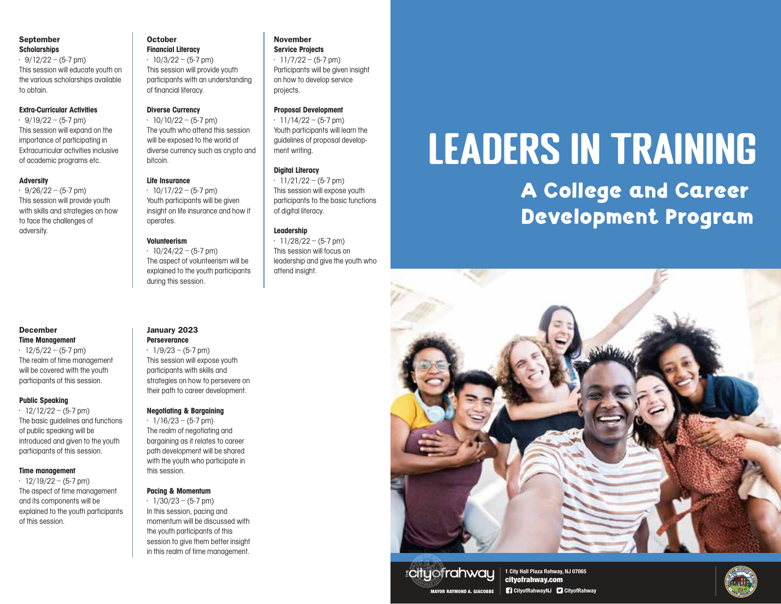#### September **Scholarships**

 $\cdot$  9/12/22 – (5-7 pm) This session will educate youth on the various scholarships available to obtain.

#### Extra-Curricular Activities

 $\cdot$  9/19/22 – (5-7 pm) This session will expand on the importance of participating in Extracurricular activities inclusive of academic programs etc.

#### Adversity

 $\cdot$  9/26/22 – (5-7 pm) This session will provide youth with skills and strategies on how to face the challenges of adversity.

#### December Time Management

 $\cdot$  12/5/22 – (5-7 pm) The realm of time management will be covered with the youth participants of this session.

#### Public Speaking

 $\cdot$  12/12/22 – (5-7 pm) The basic guidelines and functions of public speaking will be introduced and given to the youth participants of this session.

#### Time management

 $\cdot$  12/19/22 – (5-7 pm) The aspect of time management and its components will be explained to the youth participants of this session.

#### October Financial Literacy

 $\cdot$  10/3/22 – (5-7 pm) This session will provide youth participants with an understanding of financial literacy.

#### Diverse Currency

 $\cdot$  10/10/22 – (5-7 pm) The youth who attend this session will be exposed to the world of diverse currency such as crypto and bitcoin.

#### Life Insurance

 $\cdot$  10/17/22 – (5-7 pm) Youth participants will be given insight on life insurance and how it operates.

#### Volunteerism

 $\cdot$  10/24/22 – (5-7 pm) The aspect of volunteerism will be explained to the youth participants during this session.

#### January 2023 **Perseverance**

 $\cdot$  1/9/23 – (5-7 pm) This session will expose youth participants with skills and strategies on how to persevere on their path to career development.

#### Negotiating & Bargaining

 $\cdot$  1/16/23 – (5-7 pm) The realm of negotiating and bargaining as it relates to career path development will be shared with the youth who participate in this session.

#### Pacing & Momentum

 $\cdot$  1/30/23 – (5-7 pm) In this session, pacing and momentum will be discussed with the youth participants of this session to give them better insight in this realm of time management.

#### November Service Projects

 $\cdot$  11/7/22 – (5-7 pm)

Participants will be given insight on how to develop service projects.

#### Proposal Development

 $\cdot$  11/14/22 – (5-7 pm) Youth participants will learn the guidelines of proposal development writing.

#### Digital Literacy

 $\cdot$  11/21/22 – (5-7 pm) This session will expose youth participants to the basic functions of digital literacy.

#### Leadership

 $\cdot$  11/28/22 – (5-7 pm) This session will focus on leadership and give the youth who attend insight.

# Leaders in Training

A College and Career Development Program



### **Ecity of rahway**

**1 City Hall Plaza Rahway, NJ 07065** cityofrahway.com MAYOR RAYMOND A. GIACOBBE **CityofRahwayNJ CityofRahway**